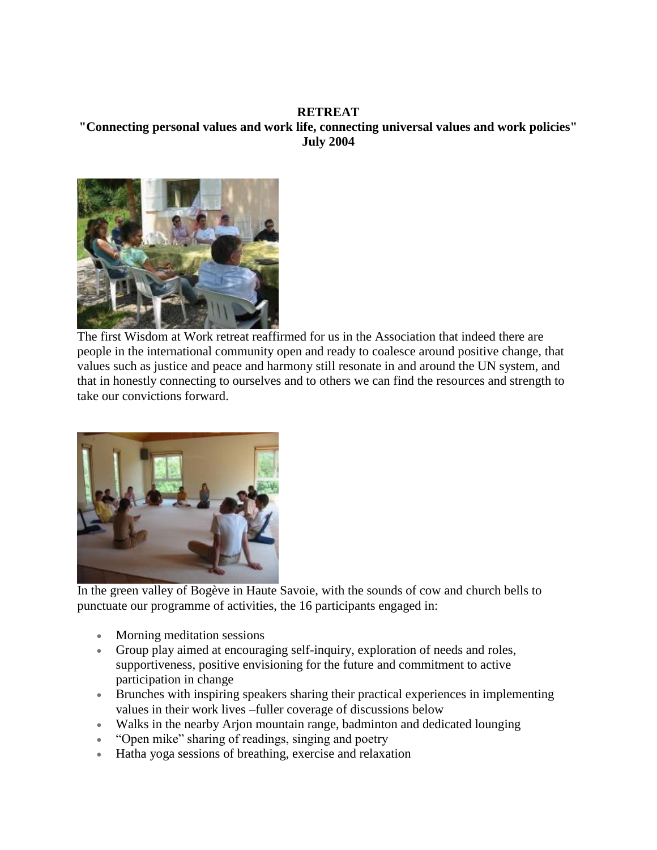## **RETREAT "Connecting personal values and work life, connecting universal values and work policies" July 2004**



The first Wisdom at Work retreat reaffirmed for us in the Association that indeed there are people in the international community open and ready to coalesce around positive change, that values such as justice and peace and harmony still resonate in and around the UN system, and that in honestly connecting to ourselves and to others we can find the resources and strength to take our convictions forward.



In the green valley of Bogève in Haute Savoie, with the sounds of cow and church bells to punctuate our programme of activities, the 16 participants engaged in:

- Morning meditation sessions
- Group play aimed at encouraging self-inquiry, exploration of needs and roles, supportiveness, positive envisioning for the future and commitment to active participation in change
- Brunches with inspiring speakers sharing their practical experiences in implementing values in their work lives –fuller coverage of discussions below
- Walks in the nearby Arjon mountain range, badminton and dedicated lounging
- "Open mike" sharing of readings, singing and poetry
- Hatha yoga sessions of breathing, exercise and relaxation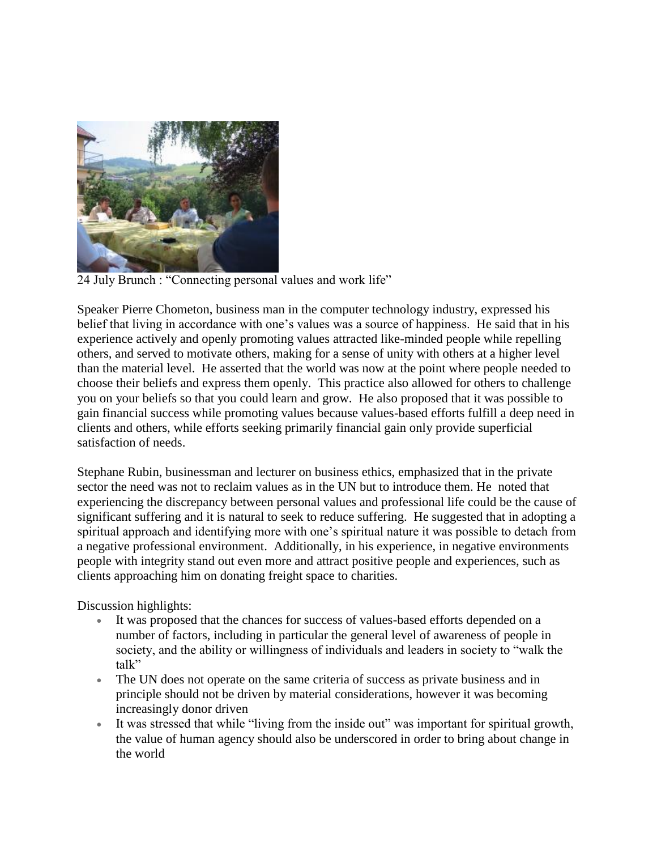

24 July Brunch : "Connecting personal values and work life"

Speaker Pierre Chometon, business man in the computer technology industry, expressed his belief that living in accordance with one's values was a source of happiness. He said that in his experience actively and openly promoting values attracted like-minded people while repelling others, and served to motivate others, making for a sense of unity with others at a higher level than the material level. He asserted that the world was now at the point where people needed to choose their beliefs and express them openly. This practice also allowed for others to challenge you on your beliefs so that you could learn and grow. He also proposed that it was possible to gain financial success while promoting values because values-based efforts fulfill a deep need in clients and others, while efforts seeking primarily financial gain only provide superficial satisfaction of needs.

Stephane Rubin, businessman and lecturer on business ethics, emphasized that in the private sector the need was not to reclaim values as in the UN but to introduce them. He noted that experiencing the discrepancy between personal values and professional life could be the cause of significant suffering and it is natural to seek to reduce suffering. He suggested that in adopting a spiritual approach and identifying more with one's spiritual nature it was possible to detach from a negative professional environment. Additionally, in his experience, in negative environments people with integrity stand out even more and attract positive people and experiences, such as clients approaching him on donating freight space to charities.

Discussion highlights:

- It was proposed that the chances for success of values-based efforts depended on a number of factors, including in particular the general level of awareness of people in society, and the ability or willingness of individuals and leaders in society to "walk the talk"
- The UN does not operate on the same criteria of success as private business and in principle should not be driven by material considerations, however it was becoming increasingly donor driven
- It was stressed that while "living from the inside out" was important for spiritual growth, the value of human agency should also be underscored in order to bring about change in the world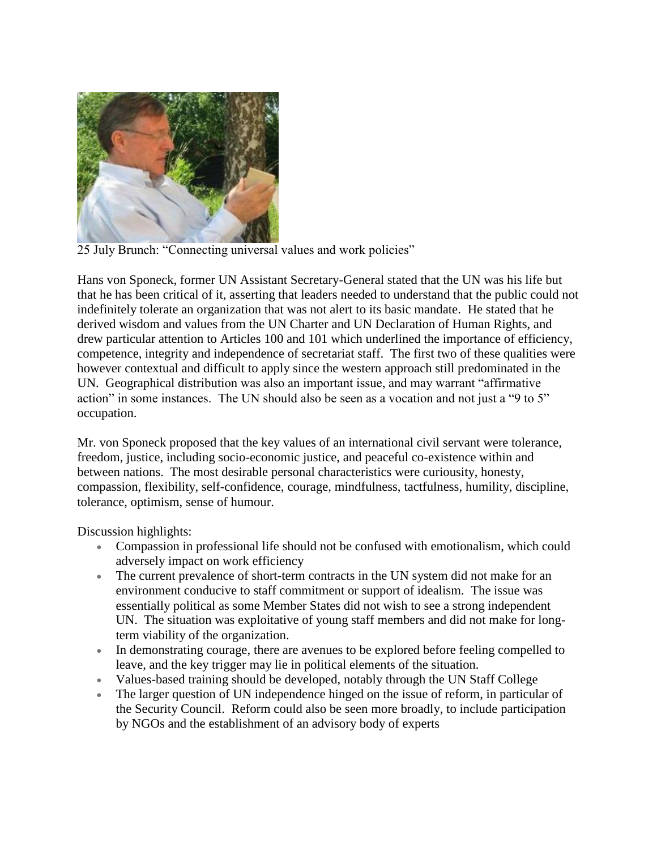

25 July Brunch: "Connecting universal values and work policies"

Hans von Sponeck, former UN Assistant Secretary-General stated that the UN was his life but that he has been critical of it, asserting that leaders needed to understand that the public could not indefinitely tolerate an organization that was not alert to its basic mandate. He stated that he derived wisdom and values from the UN Charter and UN Declaration of Human Rights, and drew particular attention to Articles 100 and 101 which underlined the importance of efficiency, competence, integrity and independence of secretariat staff. The first two of these qualities were however contextual and difficult to apply since the western approach still predominated in the UN. Geographical distribution was also an important issue, and may warrant "affirmative action" in some instances. The UN should also be seen as a vocation and not just a "9 to 5" occupation.

Mr. von Sponeck proposed that the key values of an international civil servant were tolerance, freedom, justice, including socio-economic justice, and peaceful co-existence within and between nations. The most desirable personal characteristics were curiousity, honesty, compassion, flexibility, self-confidence, courage, mindfulness, tactfulness, humility, discipline, tolerance, optimism, sense of humour.

Discussion highlights:

- Compassion in professional life should not be confused with emotionalism, which could adversely impact on work efficiency
- The current prevalence of short-term contracts in the UN system did not make for an environment conducive to staff commitment or support of idealism. The issue was essentially political as some Member States did not wish to see a strong independent UN. The situation was exploitative of young staff members and did not make for longterm viability of the organization.
- In demonstrating courage, there are avenues to be explored before feeling compelled to leave, and the key trigger may lie in political elements of the situation.
- Values-based training should be developed, notably through the UN Staff College
- The larger question of UN independence hinged on the issue of reform, in particular of the Security Council. Reform could also be seen more broadly, to include participation by NGOs and the establishment of an advisory body of experts